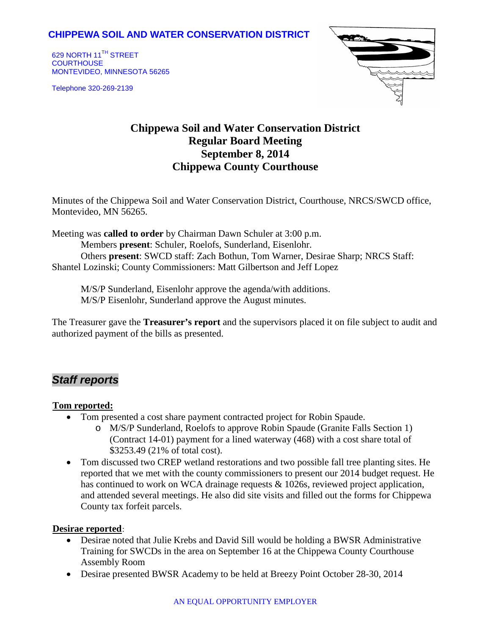## **CHIPPEWA SOIL AND WATER CONSERVATION DISTRICT**

629 NORTH 11<sup>TH</sup> STREET **COURTHOUSE** MONTEVIDEO, MINNESOTA 56265

Telephone 320-269-2139



# **Chippewa Soil and Water Conservation District Regular Board Meeting September 8, 2014 Chippewa County Courthouse**

Minutes of the Chippewa Soil and Water Conservation District, Courthouse, NRCS/SWCD office, Montevideo, MN 56265.

Meeting was **called to order** by Chairman Dawn Schuler at 3:00 p.m. Members **present**: Schuler, Roelofs, Sunderland, Eisenlohr. Others **present**: SWCD staff: Zach Bothun, Tom Warner, Desirae Sharp; NRCS Staff: Shantel Lozinski; County Commissioners: Matt Gilbertson and Jeff Lopez

M/S/P Sunderland, Eisenlohr approve the agenda/with additions. M/S/P Eisenlohr, Sunderland approve the August minutes.

The Treasurer gave the **Treasurer's report** and the supervisors placed it on file subject to audit and authorized payment of the bills as presented.

# *Staff reports*

### <sup>U</sup>**Tom reported:**

- Tom presented a cost share payment contracted project for Robin Spaude.
	- o M/S/P Sunderland, Roelofs to approve Robin Spaude (Granite Falls Section 1) (Contract 14-01) payment for a lined waterway (468) with a cost share total of \$3253.49 (21% of total cost).
- Tom discussed two CREP wetland restorations and two possible fall tree planting sites. He reported that we met with the county commissioners to present our 2014 budget request. He has continued to work on WCA drainage requests & 1026s, reviewed project application, and attended several meetings. He also did site visits and filled out the forms for Chippewa County tax forfeit parcels.

### **Desirae reported**:

- Desirae noted that Julie Krebs and David Sill would be holding a BWSR Administrative Training for SWCDs in the area on September 16 at the Chippewa County Courthouse Assembly Room
- Desirae presented BWSR Academy to be held at Breezy Point October 28-30, 2014